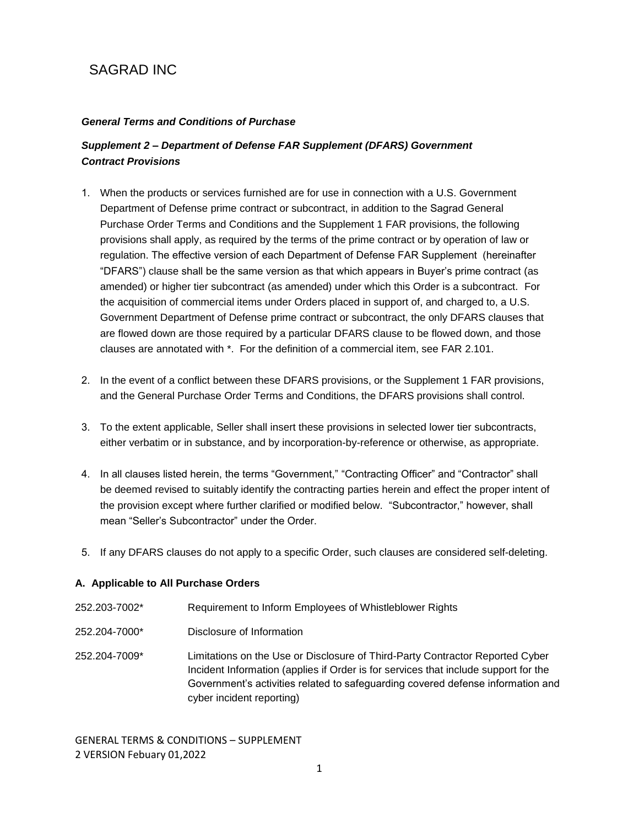# SAGRAD INC

# *General Terms and Conditions of Purchase*

# *Supplement 2* **–** *Department of Defense FAR Supplement (DFARS) Government Contract Provisions*

- 1. When the products or services furnished are for use in connection with a U.S. Government Department of Defense prime contract or subcontract, in addition to the Sagrad General Purchase Order Terms and Conditions and the Supplement 1 FAR provisions, the following provisions shall apply, as required by the terms of the prime contract or by operation of law or regulation. The effective version of each Department of Defense FAR Supplement (hereinafter "DFARS") clause shall be the same version as that which appears in Buyer's prime contract (as amended) or higher tier subcontract (as amended) under which this Order is a subcontract. For the acquisition of commercial items under Orders placed in support of, and charged to, a U.S. Government Department of Defense prime contract or subcontract, the only DFARS clauses that are flowed down are those required by a particular DFARS clause to be flowed down, and those clauses are annotated with \*. For the definition of a commercial item, see FAR 2.101.
- 2. In the event of a conflict between these DFARS provisions, or the Supplement 1 FAR provisions, and the General Purchase Order Terms and Conditions, the DFARS provisions shall control.
- 3. To the extent applicable, Seller shall insert these provisions in selected lower tier subcontracts, either verbatim or in substance, and by incorporation-by-reference or otherwise, as appropriate.
- 4. In all clauses listed herein, the terms "Government," "Contracting Officer" and "Contractor" shall be deemed revised to suitably identify the contracting parties herein and effect the proper intent of the provision except where further clarified or modified below. "Subcontractor," however, shall mean "Seller's Subcontractor" under the Order.
- 5. If any DFARS clauses do not apply to a specific Order, such clauses are considered self-deleting.

## **A. Applicable to All Purchase Orders**

252.203-7002\* Requirement to Inform Employees of Whistleblower Rights 252.204-7000\* Disclosure of Information 252.204-7009\* Limitations on the Use or Disclosure of Third-Party Contractor Reported Cyber Incident Information (applies if Order is for services that include support for the Government's activities related to safeguarding covered defense information and cyber incident reporting)

GENERAL TERMS & CONDITIONS – SUPPLEMENT 2 VERSION Febuary 01,2022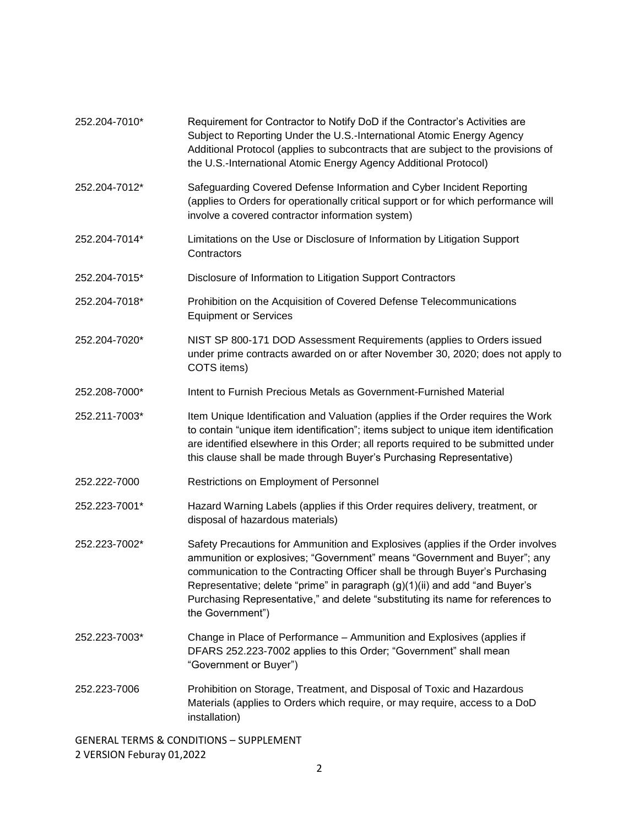| 252.204-7010*                                      | Requirement for Contractor to Notify DoD if the Contractor's Activities are<br>Subject to Reporting Under the U.S.-International Atomic Energy Agency<br>Additional Protocol (applies to subcontracts that are subject to the provisions of<br>the U.S.-International Atomic Energy Agency Additional Protocol)                                                                                                                   |  |
|----------------------------------------------------|-----------------------------------------------------------------------------------------------------------------------------------------------------------------------------------------------------------------------------------------------------------------------------------------------------------------------------------------------------------------------------------------------------------------------------------|--|
| 252.204-7012*                                      | Safeguarding Covered Defense Information and Cyber Incident Reporting<br>(applies to Orders for operationally critical support or for which performance will<br>involve a covered contractor information system)                                                                                                                                                                                                                  |  |
| 252.204-7014*                                      | Limitations on the Use or Disclosure of Information by Litigation Support<br>Contractors                                                                                                                                                                                                                                                                                                                                          |  |
| 252.204-7015*                                      | Disclosure of Information to Litigation Support Contractors                                                                                                                                                                                                                                                                                                                                                                       |  |
| 252.204-7018*                                      | Prohibition on the Acquisition of Covered Defense Telecommunications<br><b>Equipment or Services</b>                                                                                                                                                                                                                                                                                                                              |  |
| 252.204-7020*                                      | NIST SP 800-171 DOD Assessment Requirements (applies to Orders issued<br>under prime contracts awarded on or after November 30, 2020; does not apply to<br>COTS items)                                                                                                                                                                                                                                                            |  |
| 252.208-7000*                                      | Intent to Furnish Precious Metals as Government-Furnished Material                                                                                                                                                                                                                                                                                                                                                                |  |
| 252.211-7003*                                      | Item Unique Identification and Valuation (applies if the Order requires the Work<br>to contain "unique item identification"; items subject to unique item identification<br>are identified elsewhere in this Order; all reports required to be submitted under<br>this clause shall be made through Buyer's Purchasing Representative)                                                                                            |  |
| 252.222-7000                                       | Restrictions on Employment of Personnel                                                                                                                                                                                                                                                                                                                                                                                           |  |
| 252.223-7001*                                      | Hazard Warning Labels (applies if this Order requires delivery, treatment, or<br>disposal of hazardous materials)                                                                                                                                                                                                                                                                                                                 |  |
| 252.223-7002*                                      | Safety Precautions for Ammunition and Explosives (applies if the Order involves<br>ammunition or explosives; "Government" means "Government and Buyer"; any<br>communication to the Contracting Officer shall be through Buyer's Purchasing<br>Representative; delete "prime" in paragraph (g)(1)(ii) and add "and Buyer's<br>Purchasing Representative," and delete "substituting its name for references to<br>the Government") |  |
| 252.223-7003*                                      | Change in Place of Performance - Ammunition and Explosives (applies if<br>DFARS 252.223-7002 applies to this Order; "Government" shall mean<br>"Government or Buyer")                                                                                                                                                                                                                                                             |  |
| 252.223-7006                                       | Prohibition on Storage, Treatment, and Disposal of Toxic and Hazardous<br>Materials (applies to Orders which require, or may require, access to a DoD<br>installation)                                                                                                                                                                                                                                                            |  |
| <b>GENERAL TERMS &amp; CONDITIONS - SUPPLEMENT</b> |                                                                                                                                                                                                                                                                                                                                                                                                                                   |  |

2 VERSION Feburay 01,2022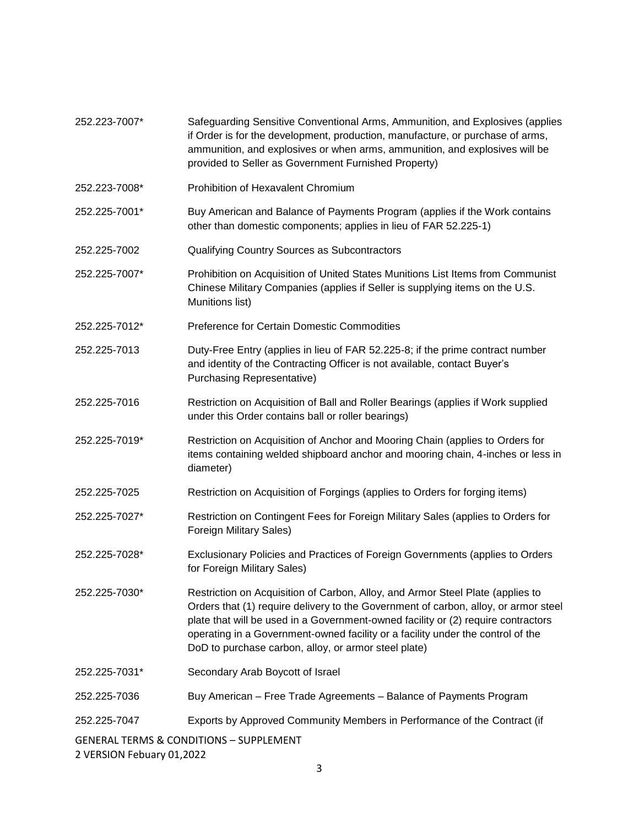| 252.223-7007*                                      | Safeguarding Sensitive Conventional Arms, Ammunition, and Explosives (applies<br>if Order is for the development, production, manufacture, or purchase of arms,<br>ammunition, and explosives or when arms, ammunition, and explosives will be<br>provided to Seller as Government Furnished Property)                                                                                                |  |
|----------------------------------------------------|-------------------------------------------------------------------------------------------------------------------------------------------------------------------------------------------------------------------------------------------------------------------------------------------------------------------------------------------------------------------------------------------------------|--|
| 252.223-7008*                                      | Prohibition of Hexavalent Chromium                                                                                                                                                                                                                                                                                                                                                                    |  |
| 252.225-7001*                                      | Buy American and Balance of Payments Program (applies if the Work contains<br>other than domestic components; applies in lieu of FAR 52.225-1)                                                                                                                                                                                                                                                        |  |
| 252.225-7002                                       | Qualifying Country Sources as Subcontractors                                                                                                                                                                                                                                                                                                                                                          |  |
| 252.225-7007*                                      | Prohibition on Acquisition of United States Munitions List Items from Communist<br>Chinese Military Companies (applies if Seller is supplying items on the U.S.<br>Munitions list)                                                                                                                                                                                                                    |  |
| 252.225-7012*                                      | Preference for Certain Domestic Commodities                                                                                                                                                                                                                                                                                                                                                           |  |
| 252.225-7013                                       | Duty-Free Entry (applies in lieu of FAR 52.225-8; if the prime contract number<br>and identity of the Contracting Officer is not available, contact Buyer's<br><b>Purchasing Representative)</b>                                                                                                                                                                                                      |  |
| 252.225-7016                                       | Restriction on Acquisition of Ball and Roller Bearings (applies if Work supplied<br>under this Order contains ball or roller bearings)                                                                                                                                                                                                                                                                |  |
| 252.225-7019*                                      | Restriction on Acquisition of Anchor and Mooring Chain (applies to Orders for<br>items containing welded shipboard anchor and mooring chain, 4-inches or less in<br>diameter)                                                                                                                                                                                                                         |  |
| 252.225-7025                                       | Restriction on Acquisition of Forgings (applies to Orders for forging items)                                                                                                                                                                                                                                                                                                                          |  |
| 252.225-7027*                                      | Restriction on Contingent Fees for Foreign Military Sales (applies to Orders for<br>Foreign Military Sales)                                                                                                                                                                                                                                                                                           |  |
| 252.225-7028*                                      | Exclusionary Policies and Practices of Foreign Governments (applies to Orders<br>for Foreign Military Sales)                                                                                                                                                                                                                                                                                          |  |
| 252.225-7030*                                      | Restriction on Acquisition of Carbon, Alloy, and Armor Steel Plate (applies to<br>Orders that (1) require delivery to the Government of carbon, alloy, or armor steel<br>plate that will be used in a Government-owned facility or (2) require contractors<br>operating in a Government-owned facility or a facility under the control of the<br>DoD to purchase carbon, alloy, or armor steel plate) |  |
| 252.225-7031*                                      | Secondary Arab Boycott of Israel                                                                                                                                                                                                                                                                                                                                                                      |  |
| 252.225-7036                                       | Buy American – Free Trade Agreements – Balance of Payments Program                                                                                                                                                                                                                                                                                                                                    |  |
| 252.225-7047                                       | Exports by Approved Community Members in Performance of the Contract (if                                                                                                                                                                                                                                                                                                                              |  |
| <b>GENERAL TERMS &amp; CONDITIONS - SUPPLEMENT</b> |                                                                                                                                                                                                                                                                                                                                                                                                       |  |

2 VERSION Febuary 01,2022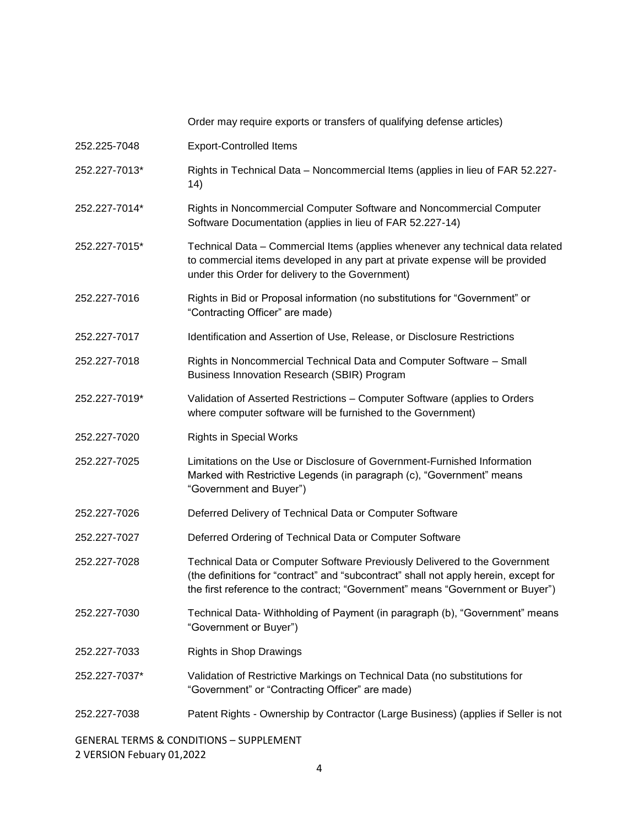|               | Order may require exports or transfers of qualifying defense articles)                                                                                                                                                                               |  |
|---------------|------------------------------------------------------------------------------------------------------------------------------------------------------------------------------------------------------------------------------------------------------|--|
| 252.225-7048  | <b>Export-Controlled Items</b>                                                                                                                                                                                                                       |  |
| 252.227-7013* | Rights in Technical Data - Noncommercial Items (applies in lieu of FAR 52.227-<br>14)                                                                                                                                                                |  |
| 252.227-7014* | Rights in Noncommercial Computer Software and Noncommercial Computer<br>Software Documentation (applies in lieu of FAR 52.227-14)                                                                                                                    |  |
| 252.227-7015* | Technical Data - Commercial Items (applies whenever any technical data related<br>to commercial items developed in any part at private expense will be provided<br>under this Order for delivery to the Government)                                  |  |
| 252.227-7016  | Rights in Bid or Proposal information (no substitutions for "Government" or<br>"Contracting Officer" are made)                                                                                                                                       |  |
| 252.227-7017  | Identification and Assertion of Use, Release, or Disclosure Restrictions                                                                                                                                                                             |  |
| 252.227-7018  | Rights in Noncommercial Technical Data and Computer Software - Small<br>Business Innovation Research (SBIR) Program                                                                                                                                  |  |
| 252.227-7019* | Validation of Asserted Restrictions - Computer Software (applies to Orders<br>where computer software will be furnished to the Government)                                                                                                           |  |
| 252.227-7020  | <b>Rights in Special Works</b>                                                                                                                                                                                                                       |  |
| 252.227-7025  | Limitations on the Use or Disclosure of Government-Furnished Information<br>Marked with Restrictive Legends (in paragraph (c), "Government" means<br>"Government and Buyer")                                                                         |  |
| 252.227-7026  | Deferred Delivery of Technical Data or Computer Software                                                                                                                                                                                             |  |
| 252.227-7027  | Deferred Ordering of Technical Data or Computer Software                                                                                                                                                                                             |  |
| 252.227-7028  | Technical Data or Computer Software Previously Delivered to the Government<br>(the definitions for "contract" and "subcontract" shall not apply herein, except for<br>the first reference to the contract; "Government" means "Government or Buyer") |  |
| 252.227-7030  | Technical Data-Withholding of Payment (in paragraph (b), "Government" means<br>"Government or Buyer")                                                                                                                                                |  |
| 252.227-7033  | <b>Rights in Shop Drawings</b>                                                                                                                                                                                                                       |  |
| 252.227-7037* | Validation of Restrictive Markings on Technical Data (no substitutions for<br>"Government" or "Contracting Officer" are made)                                                                                                                        |  |
| 252.227-7038  | Patent Rights - Ownership by Contractor (Large Business) (applies if Seller is not                                                                                                                                                                   |  |
|               |                                                                                                                                                                                                                                                      |  |

GENERAL TERMS & CONDITIONS – SUPPLEMENT 2 VERSION Febuary 01,2022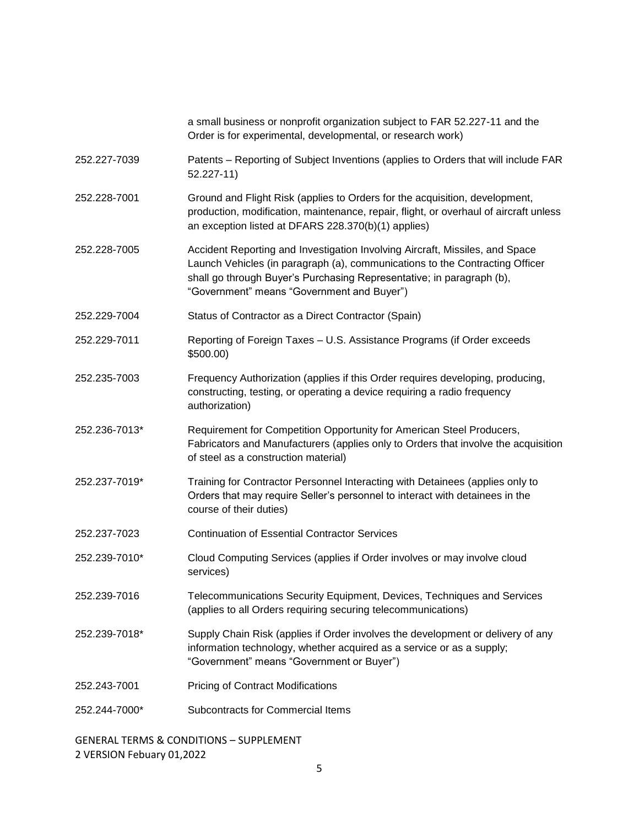|                                                    | a small business or nonprofit organization subject to FAR 52.227-11 and the<br>Order is for experimental, developmental, or research work)                                                                                                                                          |  |
|----------------------------------------------------|-------------------------------------------------------------------------------------------------------------------------------------------------------------------------------------------------------------------------------------------------------------------------------------|--|
| 252.227-7039                                       | Patents – Reporting of Subject Inventions (applies to Orders that will include FAR<br>$52.227 - 11$                                                                                                                                                                                 |  |
| 252.228-7001                                       | Ground and Flight Risk (applies to Orders for the acquisition, development,<br>production, modification, maintenance, repair, flight, or overhaul of aircraft unless<br>an exception listed at DFARS 228.370(b)(1) applies)                                                         |  |
| 252.228-7005                                       | Accident Reporting and Investigation Involving Aircraft, Missiles, and Space<br>Launch Vehicles (in paragraph (a), communications to the Contracting Officer<br>shall go through Buyer's Purchasing Representative; in paragraph (b),<br>"Government" means "Government and Buyer") |  |
| 252.229-7004                                       | Status of Contractor as a Direct Contractor (Spain)                                                                                                                                                                                                                                 |  |
| 252.229-7011                                       | Reporting of Foreign Taxes - U.S. Assistance Programs (if Order exceeds<br>\$500.00                                                                                                                                                                                                 |  |
| 252.235-7003                                       | Frequency Authorization (applies if this Order requires developing, producing,<br>constructing, testing, or operating a device requiring a radio frequency<br>authorization)                                                                                                        |  |
| 252.236-7013*                                      | Requirement for Competition Opportunity for American Steel Producers,<br>Fabricators and Manufacturers (applies only to Orders that involve the acquisition<br>of steel as a construction material)                                                                                 |  |
| 252.237-7019*                                      | Training for Contractor Personnel Interacting with Detainees (applies only to<br>Orders that may require Seller's personnel to interact with detainees in the<br>course of their duties)                                                                                            |  |
| 252.237-7023                                       | <b>Continuation of Essential Contractor Services</b>                                                                                                                                                                                                                                |  |
| 252.239-7010*                                      | Cloud Computing Services (applies if Order involves or may involve cloud<br>services)                                                                                                                                                                                               |  |
| 252.239-7016                                       | Telecommunications Security Equipment, Devices, Techniques and Services<br>(applies to all Orders requiring securing telecommunications)                                                                                                                                            |  |
| 252.239-7018*                                      | Supply Chain Risk (applies if Order involves the development or delivery of any<br>information technology, whether acquired as a service or as a supply;<br>"Government" means "Government or Buyer")                                                                               |  |
| 252.243-7001                                       | <b>Pricing of Contract Modifications</b>                                                                                                                                                                                                                                            |  |
| 252.244-7000*                                      | <b>Subcontracts for Commercial Items</b>                                                                                                                                                                                                                                            |  |
| <b>GENERAL TERMS &amp; CONDITIONS - SUPPLEMENT</b> |                                                                                                                                                                                                                                                                                     |  |

2 VERSION Febuary 01,2022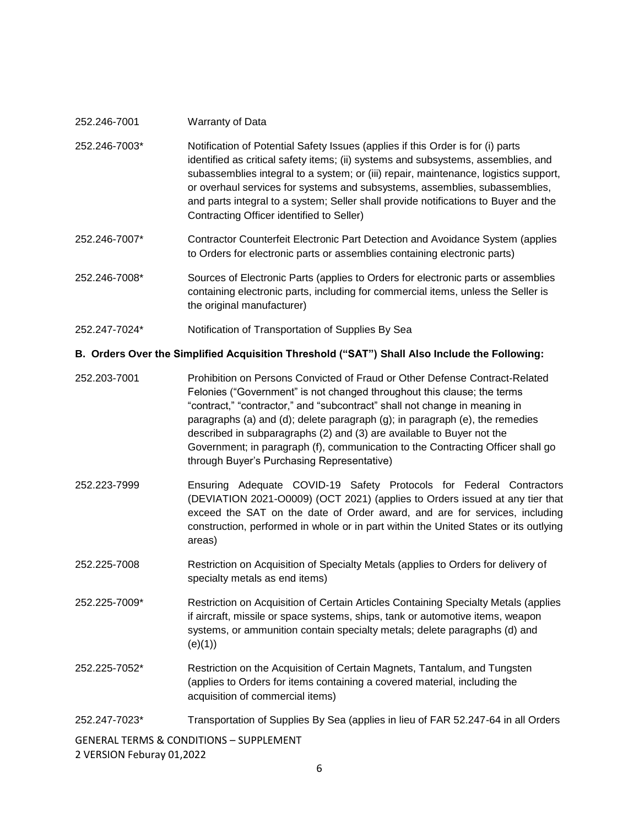| 252.246-7001  | Warranty of Data                                                                                                                                                                                                                                                                                                                                                                                                                                                                |
|---------------|---------------------------------------------------------------------------------------------------------------------------------------------------------------------------------------------------------------------------------------------------------------------------------------------------------------------------------------------------------------------------------------------------------------------------------------------------------------------------------|
| 252.246-7003* | Notification of Potential Safety Issues (applies if this Order is for (i) parts<br>identified as critical safety items; (ii) systems and subsystems, assemblies, and<br>subassemblies integral to a system; or (iii) repair, maintenance, logistics support,<br>or overhaul services for systems and subsystems, assemblies, subassemblies,<br>and parts integral to a system; Seller shall provide notifications to Buyer and the<br>Contracting Officer identified to Seller) |
| 252.246-7007* | Contractor Counterfeit Electronic Part Detection and Avoidance System (applies<br>to Orders for electronic parts or assemblies containing electronic parts)                                                                                                                                                                                                                                                                                                                     |
| 252.246-7008* | Sources of Electronic Parts (applies to Orders for electronic parts or assemblies<br>containing electronic parts, including for commercial items, unless the Seller is<br>the original manufacturer)                                                                                                                                                                                                                                                                            |
| 252.247-7024* | Notification of Transportation of Supplies By Sea                                                                                                                                                                                                                                                                                                                                                                                                                               |

#### **B. Orders Over the Simplified Acquisition Threshold ("SAT") Shall Also Include the Following:**

- 252.203-7001 Prohibition on Persons Convicted of Fraud or Other Defense Contract-Related Felonies ("Government" is not changed throughout this clause; the terms "contract," "contractor," and "subcontract" shall not change in meaning in paragraphs (a) and (d); delete paragraph (g); in paragraph (e), the remedies described in subparagraphs (2) and (3) are available to Buyer not the Government; in paragraph (f), communication to the Contracting Officer shall go through Buyer's Purchasing Representative)
- 252.223-7999 Ensuring Adequate COVID-19 Safety Protocols for Federal Contractors (DEVIATION 2021-O0009) (OCT 2021) (applies to Orders issued at any tier that exceed the SAT on the date of Order award, and are for services, including construction, performed in whole or in part within the United States or its outlying areas)
- 252.225-7008 Restriction on Acquisition of Specialty Metals (applies to Orders for delivery of specialty metals as end items)
- 252.225-7009\* Restriction on Acquisition of Certain Articles Containing Specialty Metals (applies if aircraft, missile or space systems, ships, tank or automotive items, weapon systems, or ammunition contain specialty metals; delete paragraphs (d) and (e)(1))
- 252.225-7052\* Restriction on the Acquisition of Certain Magnets, Tantalum, and Tungsten (applies to Orders for items containing a covered material, including the acquisition of commercial items)
- 252.247-7023\* Transportation of Supplies By Sea (applies in lieu of FAR 52.247-64 in all Orders

GENERAL TERMS & CONDITIONS – SUPPLEMENT 2 VERSION Feburay 01,2022